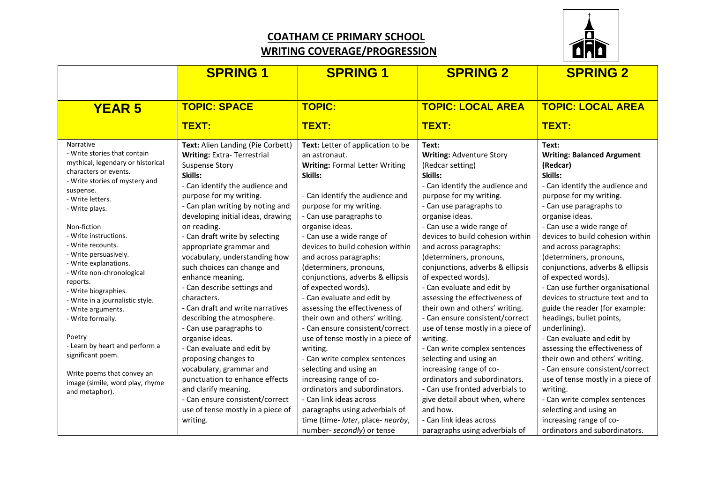## **COATHAM CE PRIMARY SCHOOL WRITING COVERAGE/PROGRESSION**



|                                                                                                                                                                                                                                                                                                                                                                                                                                                                                                                                                                                                                 | <b>SPRING 1</b>                                                                                                                                                                                                                                                                                                                                                                                                                                                                                                                                                                                                                                                                                                                                                                                                | <b>SPRING 1</b>                                                                                                                                                                                                                                                                                                                                                                                                                                                                                                                                                                                                                                                                                                                                                                                                    | <b>SPRING 2</b>                                                                                                                                                                                                                                                                                                                                                                                                                                                                                                                                                                                                                                                                                                                                                                              | <b>SPRING 2</b>                                                                                                                                                                                                                                                                                                                                                                                                                                                                                                                                                                                                                                                                                                                                                                                   |
|-----------------------------------------------------------------------------------------------------------------------------------------------------------------------------------------------------------------------------------------------------------------------------------------------------------------------------------------------------------------------------------------------------------------------------------------------------------------------------------------------------------------------------------------------------------------------------------------------------------------|----------------------------------------------------------------------------------------------------------------------------------------------------------------------------------------------------------------------------------------------------------------------------------------------------------------------------------------------------------------------------------------------------------------------------------------------------------------------------------------------------------------------------------------------------------------------------------------------------------------------------------------------------------------------------------------------------------------------------------------------------------------------------------------------------------------|--------------------------------------------------------------------------------------------------------------------------------------------------------------------------------------------------------------------------------------------------------------------------------------------------------------------------------------------------------------------------------------------------------------------------------------------------------------------------------------------------------------------------------------------------------------------------------------------------------------------------------------------------------------------------------------------------------------------------------------------------------------------------------------------------------------------|----------------------------------------------------------------------------------------------------------------------------------------------------------------------------------------------------------------------------------------------------------------------------------------------------------------------------------------------------------------------------------------------------------------------------------------------------------------------------------------------------------------------------------------------------------------------------------------------------------------------------------------------------------------------------------------------------------------------------------------------------------------------------------------------|---------------------------------------------------------------------------------------------------------------------------------------------------------------------------------------------------------------------------------------------------------------------------------------------------------------------------------------------------------------------------------------------------------------------------------------------------------------------------------------------------------------------------------------------------------------------------------------------------------------------------------------------------------------------------------------------------------------------------------------------------------------------------------------------------|
| <b>YEAR 5</b>                                                                                                                                                                                                                                                                                                                                                                                                                                                                                                                                                                                                   | <b>TOPIC: SPACE</b><br>TEXT:                                                                                                                                                                                                                                                                                                                                                                                                                                                                                                                                                                                                                                                                                                                                                                                   | <b>TOPIC:</b><br>TEXT:                                                                                                                                                                                                                                                                                                                                                                                                                                                                                                                                                                                                                                                                                                                                                                                             | <b>TOPIC: LOCAL AREA</b><br>TEXT:                                                                                                                                                                                                                                                                                                                                                                                                                                                                                                                                                                                                                                                                                                                                                            | <b>TOPIC: LOCAL AREA</b><br>TEXT:                                                                                                                                                                                                                                                                                                                                                                                                                                                                                                                                                                                                                                                                                                                                                                 |
| Narrative<br>- Write stories that contain<br>mythical, legendary or historical<br>characters or events.<br>- Write stories of mystery and<br>suspense.<br>- Write letters.<br>- Write plays.<br>Non-fiction<br>- Write instructions.<br>- Write recounts.<br>- Write persuasively.<br>- Write explanations.<br>- Write non-chronological<br>reports.<br>- Write biographies.<br>- Write in a journalistic style.<br>- Write arguments.<br>- Write formally.<br>Poetry<br>- Learn by heart and perform a<br>significant poem.<br>Write poems that convey an<br>image (simile, word play, rhyme<br>and metaphor). | Text: Alien Landing (Pie Corbett)<br><b>Writing: Extra-Terrestrial</b><br><b>Suspense Story</b><br>Skills:<br>- Can identify the audience and<br>purpose for my writing.<br>- Can plan writing by noting and<br>developing initial ideas, drawing<br>on reading.<br>- Can draft write by selecting<br>appropriate grammar and<br>vocabulary, understanding how<br>such choices can change and<br>enhance meaning.<br>- Can describe settings and<br>characters.<br>- Can draft and write narratives<br>describing the atmosphere.<br>- Can use paragraphs to<br>organise ideas.<br>- Can evaluate and edit by<br>proposing changes to<br>vocabulary, grammar and<br>punctuation to enhance effects<br>and clarify meaning.<br>- Can ensure consistent/correct<br>use of tense mostly in a piece of<br>writing. | Text: Letter of application to be<br>an astronaut.<br><b>Writing: Formal Letter Writing</b><br>Skills:<br>- Can identify the audience and<br>purpose for my writing.<br>- Can use paragraphs to<br>organise ideas.<br>- Can use a wide range of<br>devices to build cohesion within<br>and across paragraphs:<br>(determiners, pronouns,<br>conjunctions, adverbs & ellipsis<br>of expected words).<br>- Can evaluate and edit by<br>assessing the effectiveness of<br>their own and others' writing.<br>- Can ensure consistent/correct<br>use of tense mostly in a piece of<br>writing.<br>- Can write complex sentences<br>selecting and using an<br>increasing range of co-<br>ordinators and subordinators.<br>- Can link ideas across<br>paragraphs using adverbials of<br>time (time- later, place- nearby, | Text:<br><b>Writing: Adventure Story</b><br>(Redcar setting)<br>Skills:<br>- Can identify the audience and<br>purpose for my writing.<br>- Can use paragraphs to<br>organise ideas.<br>- Can use a wide range of<br>devices to build cohesion within<br>and across paragraphs:<br>(determiners, pronouns,<br>conjunctions, adverbs & ellipsis<br>of expected words).<br>- Can evaluate and edit by<br>assessing the effectiveness of<br>their own and others' writing.<br>- Can ensure consistent/correct<br>use of tense mostly in a piece of<br>writing.<br>- Can write complex sentences<br>selecting and using an<br>increasing range of co-<br>ordinators and subordinators.<br>- Can use fronted adverbials to<br>give detail about when, where<br>and how.<br>- Can link ideas across | Text:<br><b>Writing: Balanced Argument</b><br>(Redcar)<br>Skills:<br>- Can identify the audience and<br>purpose for my writing.<br>- Can use paragraphs to<br>organise ideas.<br>- Can use a wide range of<br>devices to build cohesion within<br>and across paragraphs:<br>(determiners, pronouns,<br>conjunctions, adverbs & ellipsis<br>of expected words).<br>- Can use further organisational<br>devices to structure text and to<br>guide the reader (for example:<br>headings, bullet points,<br>underlining).<br>- Can evaluate and edit by<br>assessing the effectiveness of<br>their own and others' writing.<br>- Can ensure consistent/correct<br>use of tense mostly in a piece of<br>writing.<br>- Can write complex sentences<br>selecting and using an<br>increasing range of co- |
|                                                                                                                                                                                                                                                                                                                                                                                                                                                                                                                                                                                                                 |                                                                                                                                                                                                                                                                                                                                                                                                                                                                                                                                                                                                                                                                                                                                                                                                                | number- secondly) or tense                                                                                                                                                                                                                                                                                                                                                                                                                                                                                                                                                                                                                                                                                                                                                                                         | paragraphs using adverbials of                                                                                                                                                                                                                                                                                                                                                                                                                                                                                                                                                                                                                                                                                                                                                               | ordinators and subordinators.                                                                                                                                                                                                                                                                                                                                                                                                                                                                                                                                                                                                                                                                                                                                                                     |